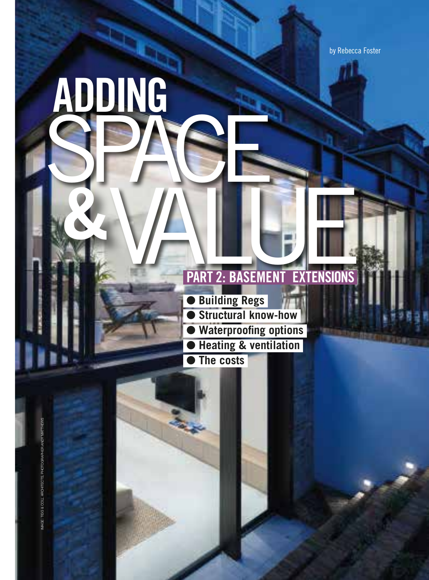by Rebecca Foster

# **PART 2: BASEMENT EXTENSIONS**

O**Building Regs**  O**Structural know-how Waterproofing options** O**Heating & ventilation** O**The costs**

 **ADDING**

**&**

IMAGE: TIGG & COLL ARCHITECTS, PHOTOGRAPHER ANDY MATTHEWSIMAGE: TIGG & COLL ARCHITECTS, PHOTOGRAPHER ANDY MATTHEW

SPACE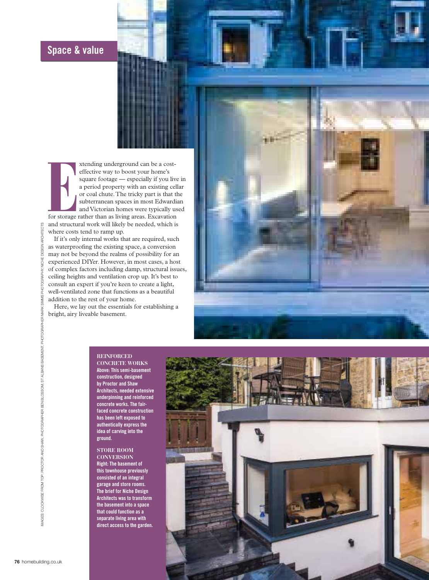# **Space & value**

**Example 12** xtending underground can be a costeffective way to boost your home's square footage — especially if you live in a period property with an existing cellar or coal chute. The tricky part is that the subterranean spaces in most Edwardian and Victorian homes were typically used for storage rather than as living areas. Excavation and structural work will likely be needed, which is where costs tend to ramp up.

If it's only internal works that are required, such as waterproofing the existing space, a conversion may not be beyond the realms of possibility for an experienced DIYer. However, in most cases, a host of complex factors including damp, structural issues, ceiling heights and ventilation crop up. It's best to consult an expert if you're keen to create a light, well-ventilated zone that functions as a beautiful addition to the rest of your home.

Here, we lay out the essentials for establishing a bright, airy liveable basement.

#### **REINFORCED**

**CONCRETE WORKS Above: This semi-basement construction, designed by Proctor and Shaw Architects, needed extensive underpinning and reinforced concrete works. The fairfaced concrete construction has been left exposed to authentically express the idea of carving into the ground.** 

#### **STORE ROOM CONVERSION**

**Right: The basement of this townhouse previously consisted of an integral garage and store rooms. The brief for Niche Design Architects was to transform the basement into a space that could function as a separate living area with direct access to the garden.**

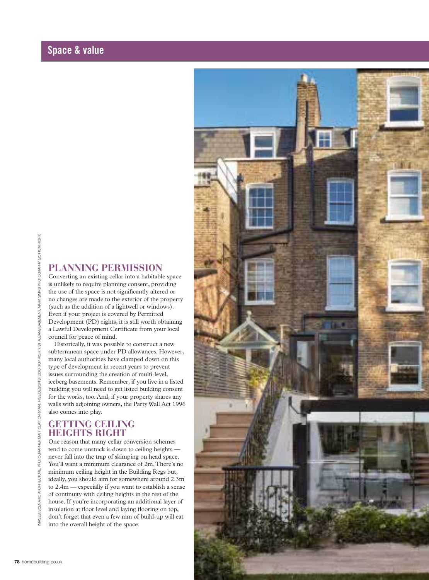# **Space & value**

# **PLANNING PERMISSION**

Converting an existing cellar into a habitable space is unlikely to require planning consent, providing the use of the space is not significantly altered or no changes are made to the exterior of the property (such as the addition of a lightwell or windows). Even if your project is covered by Permitted Development (PD) rights, it is still worth obtaining a Lawful Development Certificate from your local council for peace of mind.

Historically, it was possible to construct a new subterranean space under PD allowances. However, many local authorities have clamped down on this type of development in recent years to prevent issues surrounding the creation of multi-level, iceberg basements. Remember, if you live in a listed building you will need to get listed building consent for the works, too. And, if your property shares any walls with adjoining owners, the Party Wall Act 1996 also comes into play.

# **GETTING CEILING HEIGHTS RIGHT**

One reason that many cellar conversion schemes tend to come unstuck is down to ceiling heights never fall into the trap of skimping on head space. You'll want a minimum clearance of 2m. There's no minimum ceiling height in the Building Regs but, ideally, you should aim for somewhere around 2.3m to 2.4m — especially if you want to establish a sense of continuity with ceiling heights in the rest of the house. If you're incorporating an additional layer of insulation at floor level and laying flooring on top, don't forget that even a few mm of build-up will eat into the overall height of the space.

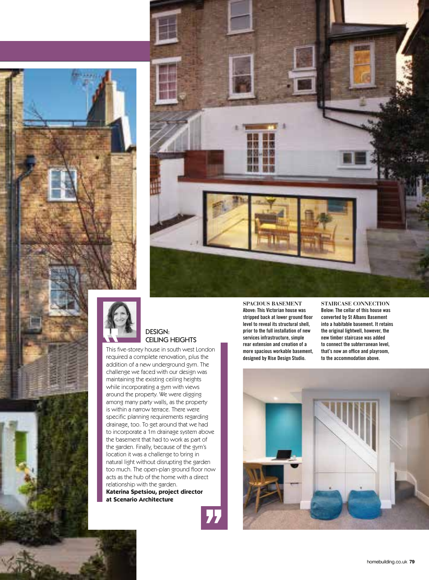





### DESIGN: CEILING HEIGHTS

This five-storey house in south west London required a complete renovation, plus the addition of a new underground gym. The challenge we faced with our design was maintaining the existing ceiling heights while incorporating a gym with views around the property. We were digging among many party walls, as the property is within a narrow terrace. There were specific planning requirements regarding drainage, too. To get around that we had to incorporate a 1m drainage system above the basement that had to work as part of the garden. Finally, because of the gym's location it was a challenge to bring in natural light without disrupting the garden too much. The open-plan ground floor now acts as the hub of the home with a direct relationship with the garden. **Katerina Spetsiou, project director at Scenario Architecture**

77

**SPACIOUS BASEMENT Above: This Victorian house was stripped back at lower ground floor level to reveal its structural shell, prior to the full installation of new services infrastructure, simple rear extension and creation of a more spacious workable basement, designed by Rise Design Studio.**

**STAIRCASE CONNECTION Below: The cellar of this house was converted by St Albans Basement into a habitable basement. It retains the original lightwell, however, the new timber staircase was added to connect the subterranean level, that's now an office and playroom, to the accommodation above.**